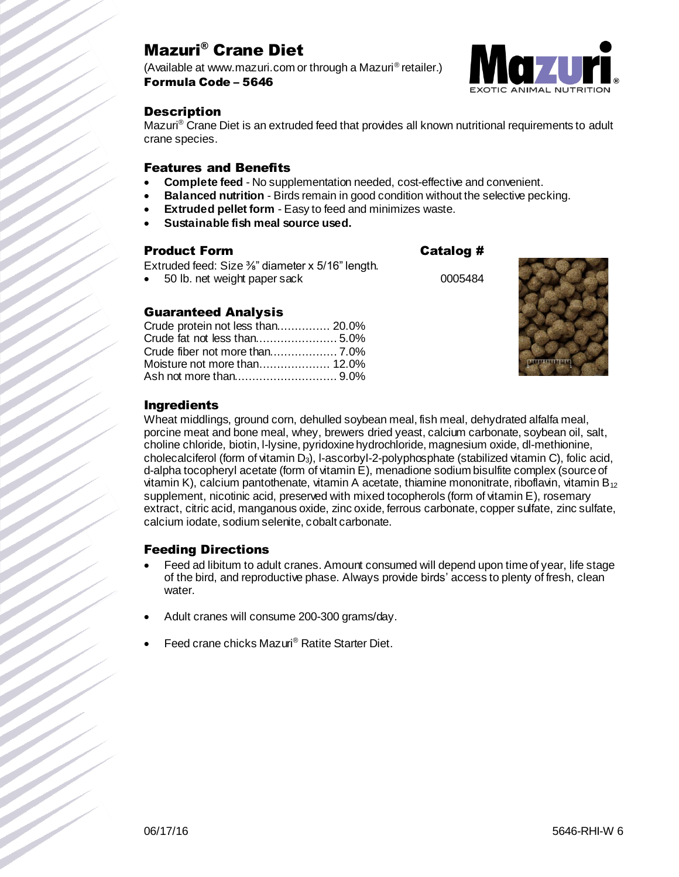# Mazuri® Crane Diet

(Available at www.mazuri.com or through a Mazuri® retailer.) Formula Code – 5646



## **Description**

Mazuri<sup>®</sup> Crane Diet is an extruded feed that provides all known nutritional requirements to adult crane species.

## Features and Benefits

- **Complete feed** No supplementation needed, cost-effective and convenient.
- **Balanced nutrition** Birds remain in good condition without the selective pecking.
- **Extruded pellet form** Easy to feed and minimizes waste.
- **Sustainable fish meal source used.**

## Product Form **Catalog #**

Extruded feed: Size <sup>3</sup>/<sub>8</sub>" diameter x 5/16" length.

50 lb. net weight paper sack 0005484

## Guaranteed Analysis

| Crude protein not less than 20.0% |
|-----------------------------------|
|                                   |
|                                   |
|                                   |
|                                   |
|                                   |



## Ingredients

Wheat middlings, ground corn, dehulled soybean meal, fish meal, dehydrated alfalfa meal, porcine meat and bone meal, whey, brewers dried yeast, calcium carbonate, soybean oil, salt, choline chloride, biotin, l-lysine, pyridoxine hydrochloride, magnesium oxide, dl-methionine, cholecalciferol (form of vitamin D3), l-ascorbyl-2-polyphosphate (stabilized vitamin C), folic acid, d-alpha tocopheryl acetate (form of vitamin E), menadione sodium bisulfite complex (source of vitamin K), calcium pantothenate, vitamin A acetate, thiamine mononitrate, riboflavin, vitamin  $B_{12}$ supplement, nicotinic acid, preserved with mixed tocopherols (form of vitamin E), rosemary extract, citric acid, manganous oxide, zinc oxide, ferrous carbonate, copper sulfate, zinc sulfate, calcium iodate, sodium selenite, cobalt carbonate.

## Feeding Directions

- Feed ad libitum to adult cranes. Amount consumed will depend upon time of year, life stage of the bird, and reproductive phase. Always provide birds' access to plenty of fresh, clean water.
- Adult cranes will consume 200-300 grams/day.
- Feed crane chicks Mazuri® Ratite Starter Diet.